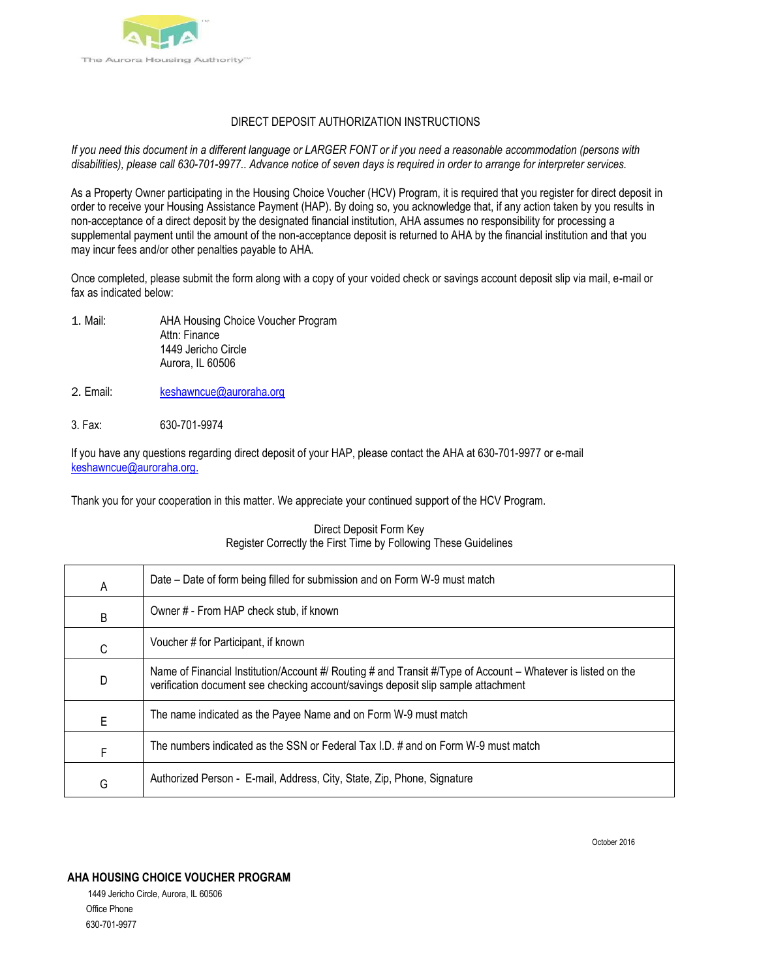

## DIRECT DEPOSIT AUTHORIZATION INSTRUCTIONS

*If you need this document in a different language or LARGER FONT or if you need a reasonable accommodation (persons with disabilities), please call 630-701-9977.. Advance notice of seven days is required in order to arrange for interpreter services.*

As a Property Owner participating in the Housing Choice Voucher (HCV) Program, it is required that you register for direct deposit in order to receive your Housing Assistance Payment (HAP). By doing so, you acknowledge that, if any action taken by you results in non-acceptance of a direct deposit by the designated financial institution, AHA assumes no responsibility for processing a supplemental payment until the amount of the non-acceptance deposit is returned to AHA by the financial institution and that you may incur fees and/or other penalties payable to AHA.

Once completed, please submit the form along with a copy of your voided check or savings account deposit slip via mail, e-mail or fax as indicated below:

- 1. Mail: AHA Housing Choice Voucher Program Attn: Finance 1449 Jericho Circle Aurora, IL 60506
- 2. Email: keshawncue@auroraha.org
- 3. Fax: 630-701-9974

If you have any questions regarding direct deposit of your HAP, please contact the AHA at 630-701-9977 or e-mail [keshawncue@auroraha.org.](mailto:keshawncue@auroraha.org.)

Thank you for your cooperation in this matter. We appreciate your continued support of the HCV Program.

### Direct Deposit Form Key Register Correctly the First Time by Following These Guidelines

| A | Date – Date of form being filled for submission and on Form W-9 must match                                                                                                                        |
|---|---------------------------------------------------------------------------------------------------------------------------------------------------------------------------------------------------|
| B | Owner # - From HAP check stub, if known                                                                                                                                                           |
| C | Voucher # for Participant, if known                                                                                                                                                               |
| D | Name of Financial Institution/Account #/ Routing # and Transit #/Type of Account – Whatever is listed on the<br>verification document see checking account/savings deposit slip sample attachment |
| E | The name indicated as the Payee Name and on Form W-9 must match                                                                                                                                   |
| F | The numbers indicated as the SSN or Federal Tax I.D. # and on Form W-9 must match                                                                                                                 |
| G | Authorized Person - E-mail, Address, City, State, Zip, Phone, Signature                                                                                                                           |

October 2016

### **AHA HOUSING CHOICE VOUCHER PROGRAM**

1449 Jericho Circle, Aurora, IL 60506 Office Phone 630-701-9977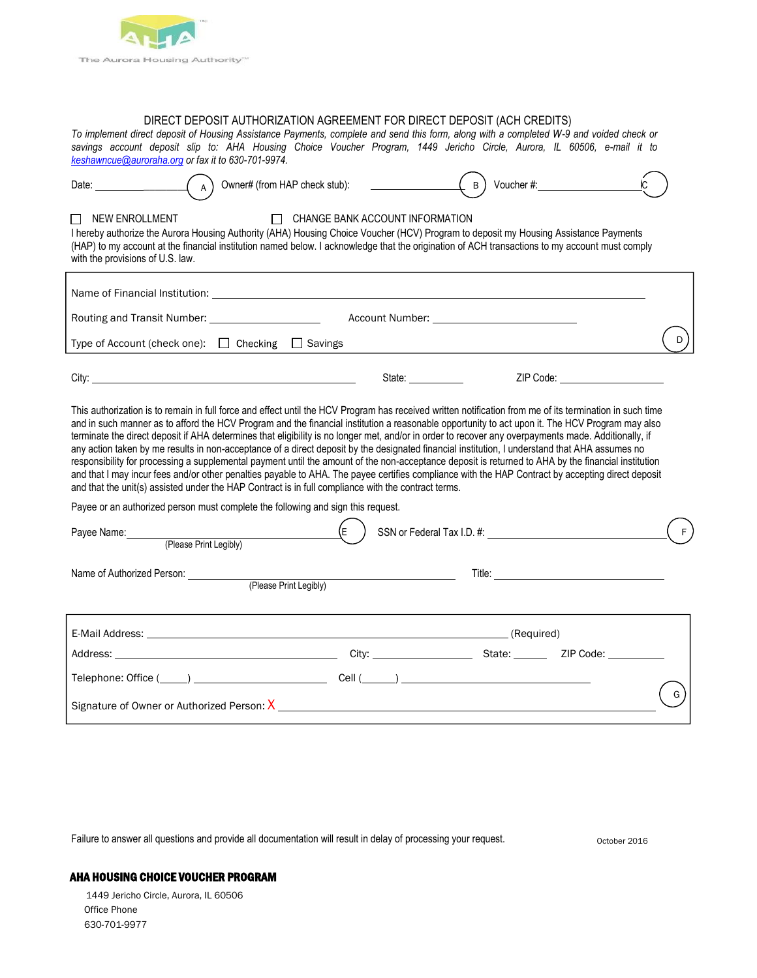

## DIRECT DEPOSIT AUTHORIZATION AGREEMENT FOR DIRECT DEPOSIT (ACH CREDITS)

*To implement direct deposit of Housing Assistance Payments, complete and send this form, along with a completed W-9 and voided check or savings account deposit slip to: AHA Housing Choice Voucher Program, 1449 Jericho Circle, Aurora, IL 60506, e-mail it to [keshawncue@auroraha.org](mailto:keshawncue@auroraha.org) or fax it to 630-701-9974.*

| Date: and the state of the state of the state of the state of the state of the state of the state of the state of the state of the state of the state of the state of the state of the state of the state of the state of the<br>A                                                                                                                                                                                                                                                                                                                                                                                                                                                                                                                                                                                                                                                                                                                                                                                                       |    | $\left[\begin{array}{cc} B \end{array}\right]$<br>Voucher #: Voucher #:                                                |   |  |  |  |
|------------------------------------------------------------------------------------------------------------------------------------------------------------------------------------------------------------------------------------------------------------------------------------------------------------------------------------------------------------------------------------------------------------------------------------------------------------------------------------------------------------------------------------------------------------------------------------------------------------------------------------------------------------------------------------------------------------------------------------------------------------------------------------------------------------------------------------------------------------------------------------------------------------------------------------------------------------------------------------------------------------------------------------------|----|------------------------------------------------------------------------------------------------------------------------|---|--|--|--|
| <b>NEW ENROLLMENT</b><br>CHANGE BANK ACCOUNT INFORMATION<br>I hereby authorize the Aurora Housing Authority (AHA) Housing Choice Voucher (HCV) Program to deposit my Housing Assistance Payments<br>(HAP) to my account at the financial institution named below. I acknowledge that the origination of ACH transactions to my account must comply<br>with the provisions of U.S. law.                                                                                                                                                                                                                                                                                                                                                                                                                                                                                                                                                                                                                                                   |    |                                                                                                                        |   |  |  |  |
|                                                                                                                                                                                                                                                                                                                                                                                                                                                                                                                                                                                                                                                                                                                                                                                                                                                                                                                                                                                                                                          |    |                                                                                                                        |   |  |  |  |
|                                                                                                                                                                                                                                                                                                                                                                                                                                                                                                                                                                                                                                                                                                                                                                                                                                                                                                                                                                                                                                          |    |                                                                                                                        |   |  |  |  |
| Type of Account (check one): □ Checking □ Savings                                                                                                                                                                                                                                                                                                                                                                                                                                                                                                                                                                                                                                                                                                                                                                                                                                                                                                                                                                                        |    |                                                                                                                        | D |  |  |  |
|                                                                                                                                                                                                                                                                                                                                                                                                                                                                                                                                                                                                                                                                                                                                                                                                                                                                                                                                                                                                                                          |    | ZIP Code: _______________________                                                                                      |   |  |  |  |
| This authorization is to remain in full force and effect until the HCV Program has received written notification from me of its termination in such time<br>and in such manner as to afford the HCV Program and the financial institution a reasonable opportunity to act upon it. The HCV Program may also<br>terminate the direct deposit if AHA determines that eligibility is no longer met, and/or in order to recover any overpayments made. Additionally, if<br>any action taken by me results in non-acceptance of a direct deposit by the designated financial institution, I understand that AHA assumes no<br>responsibility for processing a supplemental payment until the amount of the non-acceptance deposit is returned to AHA by the financial institution<br>and that I may incur fees and/or other penalties payable to AHA. The payee certifies compliance with the HAP Contract by accepting direct deposit<br>and that the unit(s) assisted under the HAP Contract is in full compliance with the contract terms. |    |                                                                                                                        |   |  |  |  |
| Payee or an authorized person must complete the following and sign this request.                                                                                                                                                                                                                                                                                                                                                                                                                                                                                                                                                                                                                                                                                                                                                                                                                                                                                                                                                         |    |                                                                                                                        |   |  |  |  |
| Payee Name: (Please Print Legibly)                                                                                                                                                                                                                                                                                                                                                                                                                                                                                                                                                                                                                                                                                                                                                                                                                                                                                                                                                                                                       | (E |                                                                                                                        |   |  |  |  |
| Name of Authorized Person: ___________<br>(Please Print Legibly)                                                                                                                                                                                                                                                                                                                                                                                                                                                                                                                                                                                                                                                                                                                                                                                                                                                                                                                                                                         |    | Title: <u>Alexander Alexander Alexander Alexander Alexander Alexander Alexander Alexander Alexander Alexander Alex</u> |   |  |  |  |
|                                                                                                                                                                                                                                                                                                                                                                                                                                                                                                                                                                                                                                                                                                                                                                                                                                                                                                                                                                                                                                          |    |                                                                                                                        |   |  |  |  |
|                                                                                                                                                                                                                                                                                                                                                                                                                                                                                                                                                                                                                                                                                                                                                                                                                                                                                                                                                                                                                                          |    |                                                                                                                        |   |  |  |  |
|                                                                                                                                                                                                                                                                                                                                                                                                                                                                                                                                                                                                                                                                                                                                                                                                                                                                                                                                                                                                                                          |    |                                                                                                                        |   |  |  |  |
| G                                                                                                                                                                                                                                                                                                                                                                                                                                                                                                                                                                                                                                                                                                                                                                                                                                                                                                                                                                                                                                        |    |                                                                                                                        |   |  |  |  |

Failure to answer all questions and provide all documentation will result in delay of processing your request.

October 2016

### AHA HOUSING CHOICE VOUCHER PROGRAM

1449 Jericho Circle, Aurora, IL 60506 Office Phone 630-701-9977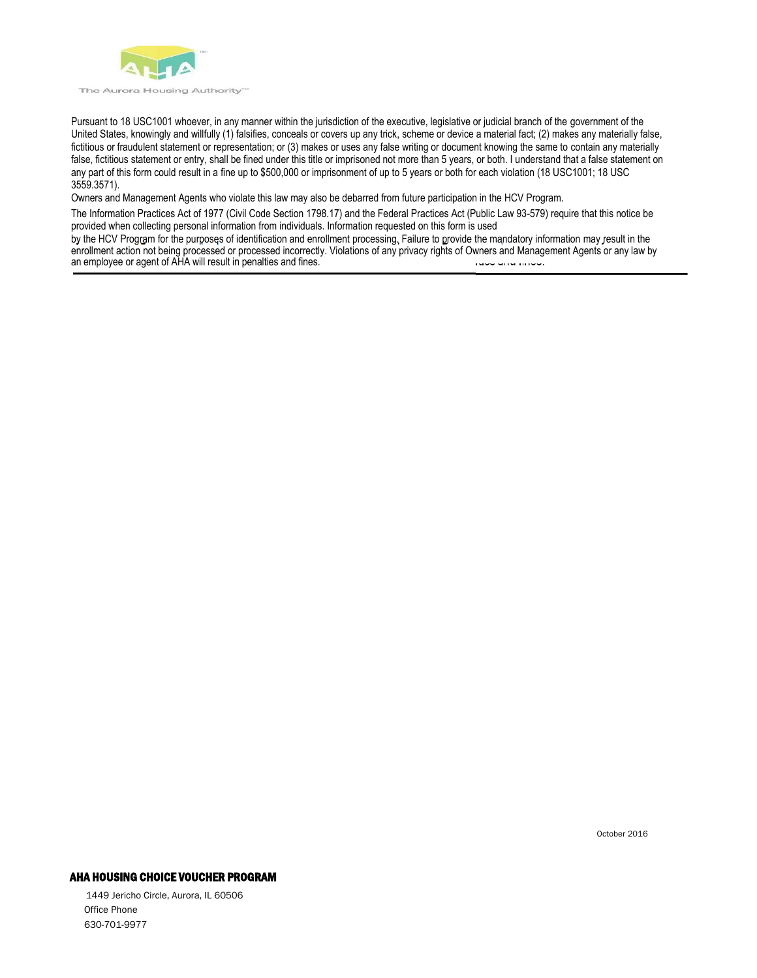

Pursuant to 18 USC1001 whoever, in any manner within the jurisdiction of the executive, legislative or judicial branch of the government of the United States, knowingly and willfully (1) falsifies, conceals or covers up any trick, scheme or device a material fact; (2) makes any materially false, fictitious or fraudulent statement or representation; or (3) makes or uses any false writing or document knowing the same to contain any materially false, fictitious statement or entry, shall be fined under this title or imprisoned not more than 5 years, or both. I understand that a false statement on any part of this form could result in a fine up to \$500,000 or imprisonment of up to 5 years or both for each violation (18 USC1001; 18 USC 3559.3571).

Owners and Management Agents who violate this law may also be debarred from future participation in the HCV Program.

The Information Practices Act of 1977 (Civil Code Section 1798.17) and the Federal Practices Act (Public Law 93-579) require that this notice be provided when collecting personal information from individuals. Information requested on this form is used

by the HCV Program for the purposes of identification and enrollment processing. Failure to provide the mandatory information may result in the enrollment action not being processed or processed incorrectly. Violations of any privacy rights of Owners and Management Agents or any law by an employee or agent of AHA will result in penalties and fines.

October 2016

### AHA HOUSING CHOICE VOUCHER PROGRAM

1449 Jericho Circle, Aurora, IL 60506 Office Phone 630-701-9977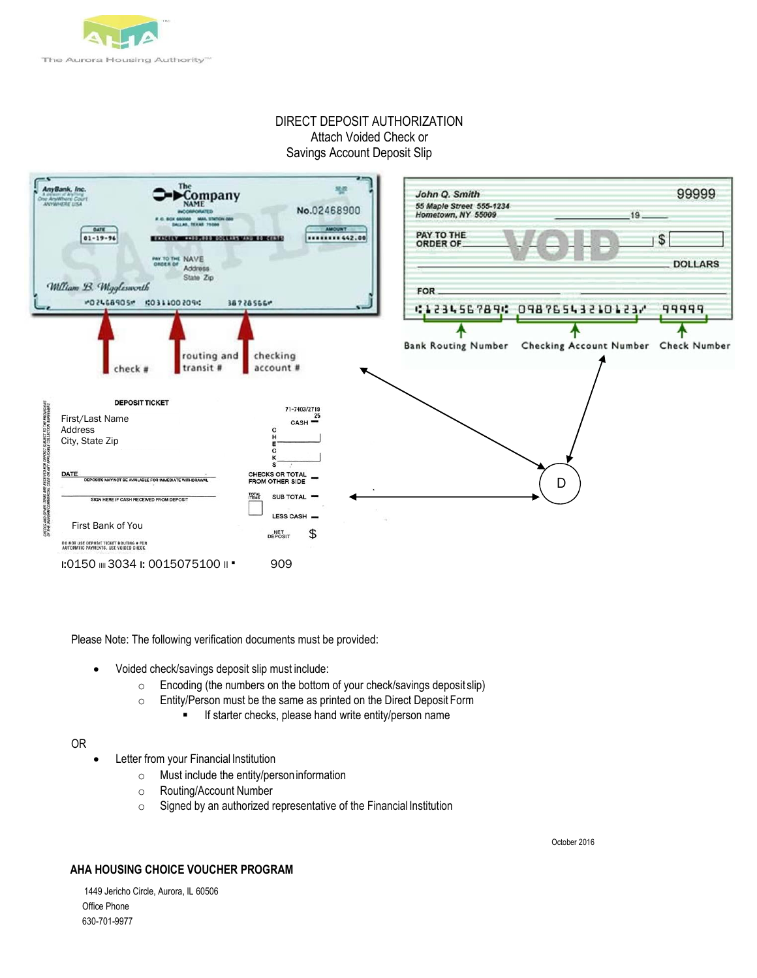

# DIRECT DEPOSIT AUTHORIZATION Attach Voided Check or Savings Account Deposit Slip



Please Note: The following verification documents must be provided:

- Voided check/savings deposit slip must include:
	- o Encoding (the numbers on the bottom of your check/savings deposit slip)
	- o Entity/Person must be the same as printed on the Direct Deposit Form
		- **If starter checks, please hand write entity/person name**

#### OR

- Letter from your Financial Institution
	- o Must include the entity/personinformation
	- o Routing/Account Number
	- o Signed by an authorized representative of the Financial Institution

October 2016

## **AHA HOUSING CHOICE VOUCHER PROGRAM**

1449 Jericho Circle, Aurora, IL 60506 Office Phone 630-701-9977